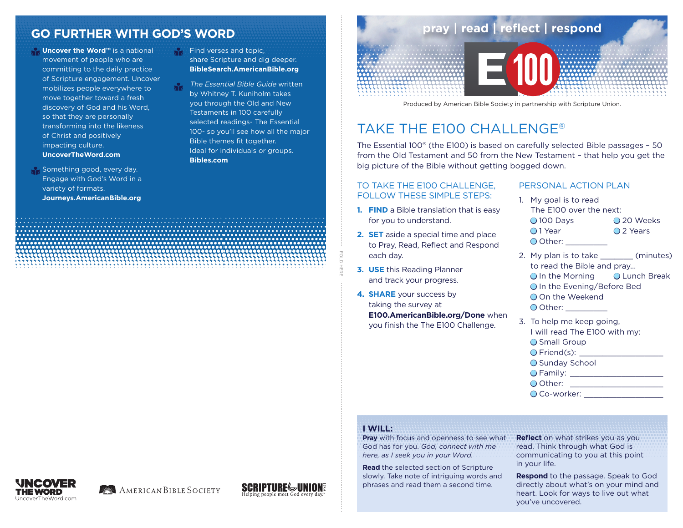## **GO FURTHER WITH GOD'S WORD**

- **P** Uncover the Word™ is a national movement of people who are committing to the daily practice of Scripture engagement. Uncover mobilizes people everywhere to move together toward a fresh discovery of God and his Word, so that they are personally transforming into the likeness of Christ and positively impacting culture. **UncoverTheWord.com**
- Something good, every day. Engage with God's Word in a variety of formats. **Journeys.AmericanBible.org**

 $\mathbb{F}_4$  Find verses and topic, share Scripture and dig deeper. **BibleSearch.AmericanBible.org**

The Essential Bible Guide written  $\mathbf{S}$ by Whitney T. Kuniholm takes you through the Old and New Testaments in 100 carefully selected readings- The Essential 100- so you'll see how all the major Bible themes fit together. Ideal for individuals or groups. **Bibles.com**

# **pray | read | reflect | respond**

Produced by American Bible Society in partnership with Scripture Union.

# TAKE THE E100 CHALLENGE®

The Essential 100® (the E100) is based on carefully selected Bible passages – 50 from the Old Testament and 50 from the New Testament – that help you get the big picture of the Bible without getting bogged down.

### TO TAKE THE E100 CHALLENGE, FOLLOW THESE SIMPLE STEPS:

- **1. FIND** a Bible translation that is easy for you to understand.
- **2. SET** aside a special time and place to Pray, Read, Reflect and Respond each day.
- **3. USE** this Reading Planner and track your progress.

FOLD HERE

**4. SHARE** your success by taking the survey at **E100.AmericanBible.org/Done** when you finish the The E100 Challenge.

## PERSONAL ACTION PLAN

| My goal is to read      |            |  |  |  |
|-------------------------|------------|--|--|--|
| The E100 over the next: |            |  |  |  |
| $\bigcirc$ 100 Days     | ○ 20 Weeks |  |  |  |
| $\bigcirc$ 1 Year       | ○ 2 Years  |  |  |  |
| O Other:                |            |  |  |  |

- 2. My plan is to take (minutes) to read the Bible and pray…  $\bigcap$  In the Morning  $\bigcap$  Lunch Break O In the Evening/Before Bed O On the Weekend  $\bigcirc$  Other:
- 3. To help me keep going, I will read The E100 with my: ◯ Small Group  $\bigcirc$  Friend(s): O Sunday School  $\bigcirc$  Family: l Other: \_\_\_\_\_\_\_\_\_\_\_\_\_\_\_\_\_\_\_\_ O Co-worker:

#### **I WILL:**

**Pray** with focus and openness to see what God has for you. *God, connect with me here, as I seek you in your Word.*

**Read** the selected section of Scripture slowly. Take note of intriguing words and phrases and read them a second time.

**Reflect** on what strikes you as you read. Think through what God is communicating to you at this point in your life.

**Respond** to the passage. Speak to God directly about what's on your mind and heart. Look for ways to live out what you've uncovered.